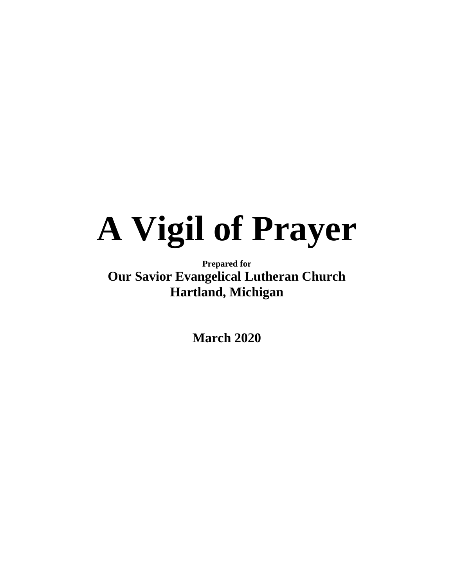# **A Vigil of Prayer**

# **Prepared for Our Savior Evangelical Lutheran Church Hartland, Michigan**

**March 2020**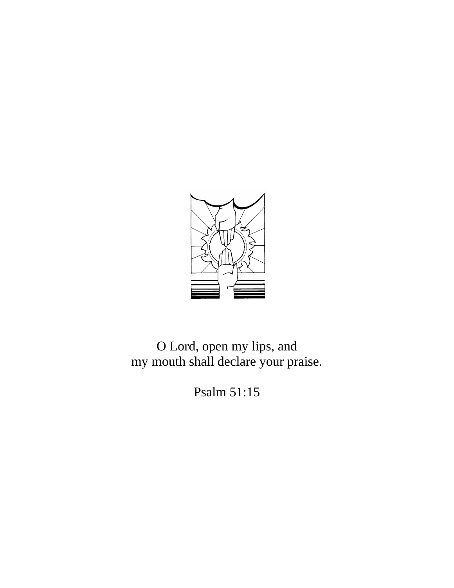

O Lord, open my lips, and my mouth shall declare your praise.

Psalm 51:15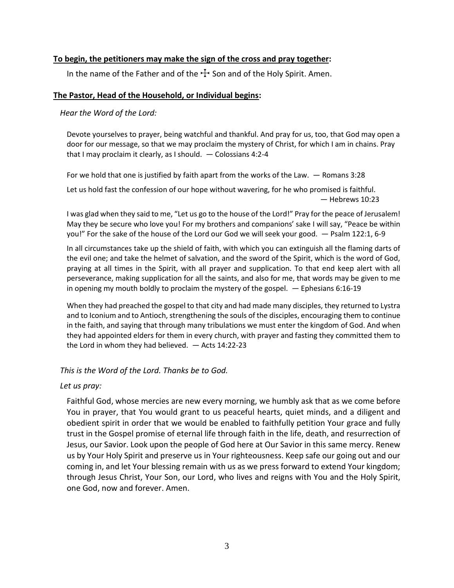### **To begin, the petitioners may make the sign of the cross and pray together:**

In the name of the Father and of the  $\pm$  Son and of the Holy Spirit. Amen.

# **The Pastor, Head of the Household, or Individual begins:**

*Hear the Word of the Lord:*

Devote yourselves to prayer, being watchful and thankful. And pray for us, too, that God may open a door for our message, so that we may proclaim the mystery of Christ, for which I am in chains. Pray that I may proclaim it clearly, as I should. — Colossians 4:2-4

For we hold that one is justified by faith apart from the works of the Law. — Romans 3:28

Let us hold fast the confession of our hope without wavering, for he who promised is faithful. — Hebrews 10:23

I was glad when they said to me, "Let us go to the house of the Lord!" Pray for the peace of Jerusalem! May they be secure who love you! For my brothers and companions' sake I will say, "Peace be within you!" For the sake of the house of the Lord our God we will seek your good. — Psalm 122:1, 6-9

In all circumstances take up the shield of faith, with which you can extinguish all the flaming darts of the evil one; and take the helmet of salvation, and the sword of the Spirit, which is the word of God, praying at all times in the Spirit, with all prayer and supplication. To that end keep alert with all perseverance, making supplication for all the saints, and also for me, that words may be given to me in opening my mouth boldly to proclaim the mystery of the gospel. — Ephesians 6:16-19

When they had preached the gospel to that city and had made many disciples, they returned to Lystra and to Iconium and to Antioch, strengthening the souls of the disciples, encouraging them to continue in the faith, and saying that through many tribulations we must enter the kingdom of God. And when they had appointed elders for them in every church, with prayer and fasting they committed them to the Lord in whom they had believed. — Acts 14:22-23

*This is the Word of the Lord. Thanks be to God.*

### *Let us pray:*

Faithful God, whose mercies are new every morning, we humbly ask that as we come before You in prayer, that You would grant to us peaceful hearts, quiet minds, and a diligent and obedient spirit in order that we would be enabled to faithfully petition Your grace and fully trust in the Gospel promise of eternal life through faith in the life, death, and resurrection of Jesus, our Savior. Look upon the people of God here at Our Savior in this same mercy. Renew us by Your Holy Spirit and preserve us in Your righteousness. Keep safe our going out and our coming in, and let Your blessing remain with us as we press forward to extend Your kingdom; through Jesus Christ, Your Son, our Lord, who lives and reigns with You and the Holy Spirit, one God, now and forever. Amen.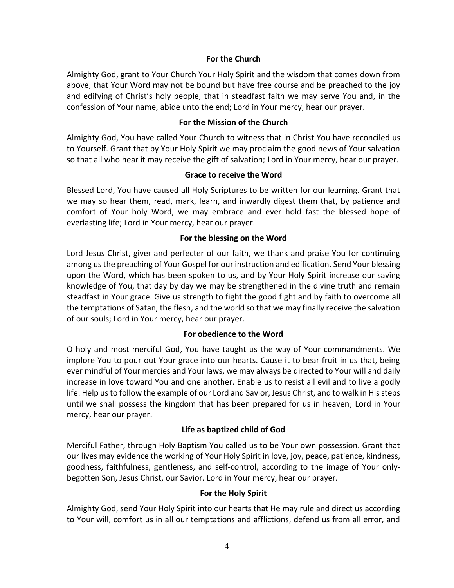### **For the Church**

Almighty God, grant to Your Church Your Holy Spirit and the wisdom that comes down from above, that Your Word may not be bound but have free course and be preached to the joy and edifying of Christ's holy people, that in steadfast faith we may serve You and, in the confession of Your name, abide unto the end; Lord in Your mercy, hear our prayer.

### **For the Mission of the Church**

Almighty God, You have called Your Church to witness that in Christ You have reconciled us to Yourself. Grant that by Your Holy Spirit we may proclaim the good news of Your salvation so that all who hear it may receive the gift of salvation; Lord in Your mercy, hear our prayer.

### **Grace to receive the Word**

Blessed Lord, You have caused all Holy Scriptures to be written for our learning. Grant that we may so hear them, read, mark, learn, and inwardly digest them that, by patience and comfort of Your holy Word, we may embrace and ever hold fast the blessed hope of everlasting life; Lord in Your mercy, hear our prayer.

### **For the blessing on the Word**

Lord Jesus Christ, giver and perfecter of our faith, we thank and praise You for continuing among us the preaching of Your Gospel for our instruction and edification. Send Your blessing upon the Word, which has been spoken to us, and by Your Holy Spirit increase our saving knowledge of You, that day by day we may be strengthened in the divine truth and remain steadfast in Your grace. Give us strength to fight the good fight and by faith to overcome all the temptations of Satan, the flesh, and the world so that we may finally receive the salvation of our souls; Lord in Your mercy, hear our prayer.

### **For obedience to the Word**

O holy and most merciful God, You have taught us the way of Your commandments. We implore You to pour out Your grace into our hearts. Cause it to bear fruit in us that, being ever mindful of Your mercies and Your laws, we may always be directed to Your will and daily increase in love toward You and one another. Enable us to resist all evil and to live a godly life. Help us to follow the example of our Lord and Savior, Jesus Christ, and to walk in His steps until we shall possess the kingdom that has been prepared for us in heaven; Lord in Your mercy, hear our prayer.

### **Life as baptized child of God**

Merciful Father, through Holy Baptism You called us to be Your own possession. Grant that our lives may evidence the working of Your Holy Spirit in love, joy, peace, patience, kindness, goodness, faithfulness, gentleness, and self-control, according to the image of Your onlybegotten Son, Jesus Christ, our Savior. Lord in Your mercy, hear our prayer.

### **For the Holy Spirit**

Almighty God, send Your Holy Spirit into our hearts that He may rule and direct us according to Your will, comfort us in all our temptations and afflictions, defend us from all error, and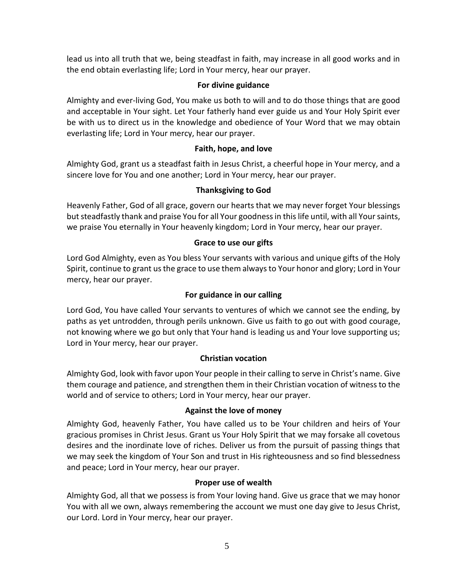lead us into all truth that we, being steadfast in faith, may increase in all good works and in the end obtain everlasting life; Lord in Your mercy, hear our prayer.

# **For divine guidance**

Almighty and ever-living God, You make us both to will and to do those things that are good and acceptable in Your sight. Let Your fatherly hand ever guide us and Your Holy Spirit ever be with us to direct us in the knowledge and obedience of Your Word that we may obtain everlasting life; Lord in Your mercy, hear our prayer.

# **Faith, hope, and love**

Almighty God, grant us a steadfast faith in Jesus Christ, a cheerful hope in Your mercy, and a sincere love for You and one another; Lord in Your mercy, hear our prayer.

# **Thanksgiving to God**

Heavenly Father, God of all grace, govern our hearts that we may never forget Your blessings but steadfastly thank and praise You for all Your goodness in this life until, with all Your saints, we praise You eternally in Your heavenly kingdom; Lord in Your mercy, hear our prayer.

# **Grace to use our gifts**

Lord God Almighty, even as You bless Your servants with various and unique gifts of the Holy Spirit, continue to grant us the grace to use them always to Your honor and glory; Lord in Your mercy, hear our prayer.

# **For guidance in our calling**

Lord God, You have called Your servants to ventures of which we cannot see the ending, by paths as yet untrodden, through perils unknown. Give us faith to go out with good courage, not knowing where we go but only that Your hand is leading us and Your love supporting us; Lord in Your mercy, hear our prayer.

# **Christian vocation**

Almighty God, look with favor upon Your people in their calling to serve in Christ's name. Give them courage and patience, and strengthen them in their Christian vocation of witness to the world and of service to others; Lord in Your mercy, hear our prayer.

# **Against the love of money**

Almighty God, heavenly Father, You have called us to be Your children and heirs of Your gracious promises in Christ Jesus. Grant us Your Holy Spirit that we may forsake all covetous desires and the inordinate love of riches. Deliver us from the pursuit of passing things that we may seek the kingdom of Your Son and trust in His righteousness and so find blessedness and peace; Lord in Your mercy, hear our prayer.

# **Proper use of wealth**

Almighty God, all that we possess is from Your loving hand. Give us grace that we may honor You with all we own, always remembering the account we must one day give to Jesus Christ, our Lord. Lord in Your mercy, hear our prayer.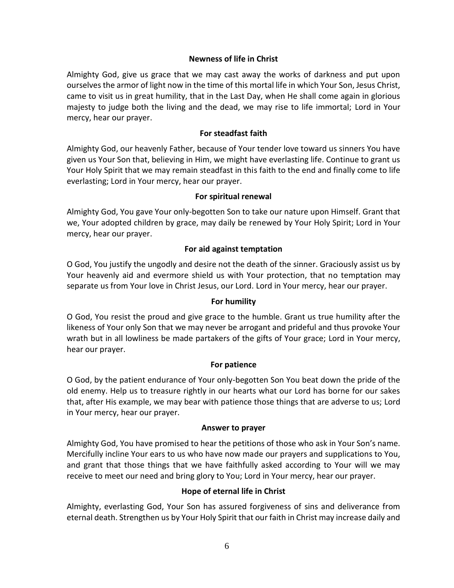# **Newness of life in Christ**

Almighty God, give us grace that we may cast away the works of darkness and put upon ourselves the armor of light now in the time of this mortal life in which Your Son, Jesus Christ, came to visit us in great humility, that in the Last Day, when He shall come again in glorious majesty to judge both the living and the dead, we may rise to life immortal; Lord in Your mercy, hear our prayer.

# **For steadfast faith**

Almighty God, our heavenly Father, because of Your tender love toward us sinners You have given us Your Son that, believing in Him, we might have everlasting life. Continue to grant us Your Holy Spirit that we may remain steadfast in this faith to the end and finally come to life everlasting; Lord in Your mercy, hear our prayer.

### **For spiritual renewal**

Almighty God, You gave Your only-begotten Son to take our nature upon Himself. Grant that we, Your adopted children by grace, may daily be renewed by Your Holy Spirit; Lord in Your mercy, hear our prayer.

### **For aid against temptation**

O God, You justify the ungodly and desire not the death of the sinner. Graciously assist us by Your heavenly aid and evermore shield us with Your protection, that no temptation may separate us from Your love in Christ Jesus, our Lord. Lord in Your mercy, hear our prayer.

### **For humility**

O God, You resist the proud and give grace to the humble. Grant us true humility after the likeness of Your only Son that we may never be arrogant and prideful and thus provoke Your wrath but in all lowliness be made partakers of the gifts of Your grace; Lord in Your mercy, hear our prayer.

### **For patience**

O God, by the patient endurance of Your only-begotten Son You beat down the pride of the old enemy. Help us to treasure rightly in our hearts what our Lord has borne for our sakes that, after His example, we may bear with patience those things that are adverse to us; Lord in Your mercy, hear our prayer.

### **Answer to prayer**

Almighty God, You have promised to hear the petitions of those who ask in Your Son's name. Mercifully incline Your ears to us who have now made our prayers and supplications to You, and grant that those things that we have faithfully asked according to Your will we may receive to meet our need and bring glory to You; Lord in Your mercy, hear our prayer.

### **Hope of eternal life in Christ**

Almighty, everlasting God, Your Son has assured forgiveness of sins and deliverance from eternal death. Strengthen us by Your Holy Spirit that our faith in Christ may increase daily and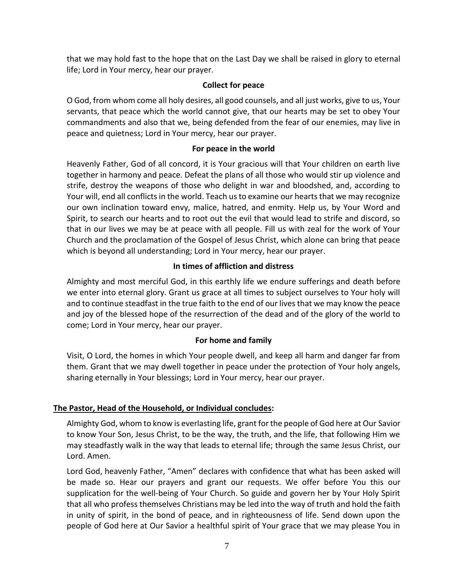that we may hold fast to the hope that on the Last Day we shall be raised in glory to eternal life; Lord in Your mercy, hear our prayer.

# **Collect for peace**

O God, from whom come all holy desires, all good counsels, and all just works, give to us, Your servants, that peace which the world cannot give, that our hearts may be set to obey Your commandments and also that we, being defended from the fear of our enemies, may live in peace and quietness; Lord in Your mercy, hear our prayer.

# **For peace in the world**

Heavenly Father, God of all concord, it is Your gracious will that Your children on earth live together in harmony and peace. Defeat the plans of all those who would stir up violence and strife, destroy the weapons of those who delight in war and bloodshed, and, according to Your will, end all conflicts in the world. Teach us to examine our hearts that we may recognize our own inclination toward envy, malice, hatred, and enmity. Help us, by Your Word and Spirit, to search our hearts and to root out the evil that would lead to strife and discord, so that in our lives we may be at peace with all people. Fill us with zeal for the work of Your Church and the proclamation of the Gospel of Jesus Christ, which alone can bring that peace which is beyond all understanding; Lord in Your mercy, hear our prayer.

# **In times of affliction and distress**

Almighty and most merciful God, in this earthly life we endure sufferings and death before we enter into eternal glory. Grant us grace at all times to subject ourselves to Your holy will and to continue steadfast in the true faith to the end of our lives that we may know the peace and joy of the blessed hope of the resurrection of the dead and of the glory of the world to come; Lord in Your mercy, hear our prayer.

# **For home and family**

Visit, O Lord, the homes in which Your people dwell, and keep all harm and danger far from them. Grant that we may dwell together in peace under the protection of Your holy angels, sharing eternally in Your blessings; Lord in Your mercy, hear our prayer.

# **The Pastor, Head of the Household, or Individual concludes:**

Almighty God, whom to know is everlasting life, grant for the people of God here at Our Savior to know Your Son, Jesus Christ, to be the way, the truth, and the life, that following Him we may steadfastly walk in the way that leads to eternal life; through the same Jesus Christ, our Lord. Amen.

Lord God, heavenly Father, "Amen" declares with confidence that what has been asked will be made so. Hear our prayers and grant our requests. We offer before You this our supplication for the well-being of Your Church. So guide and govern her by Your Holy Spirit that all who profess themselves Christians may be led into the way of truth and hold the faith in unity of spirit, in the bond of peace, and in righteousness of life. Send down upon the people of God here at Our Savior a healthful spirit of Your grace that we may please You in